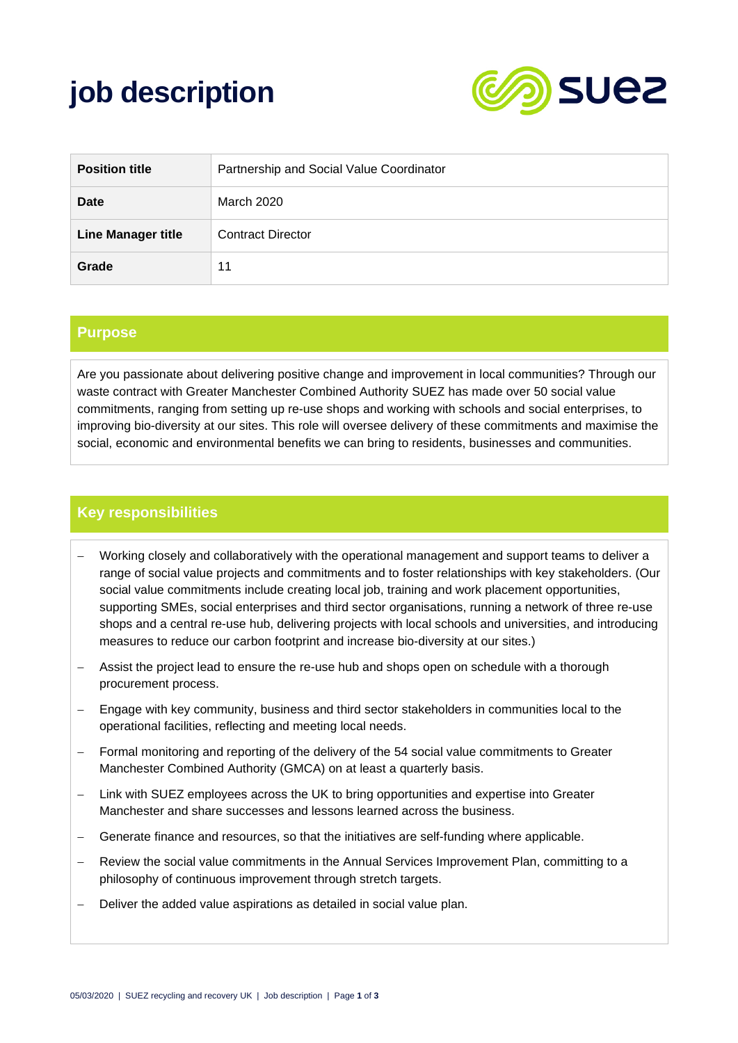# **job description**



| <b>Position title</b>     | Partnership and Social Value Coordinator |
|---------------------------|------------------------------------------|
| Date                      | March 2020                               |
| <b>Line Manager title</b> | <b>Contract Director</b>                 |
| Grade                     | 11                                       |

#### **Purpose**

Are you passionate about delivering positive change and improvement in local communities? Through our waste contract with Greater Manchester Combined Authority SUEZ has made over 50 social value commitments, ranging from setting up re-use shops and working with schools and social enterprises, to improving bio-diversity at our sites. This role will oversee delivery of these commitments and maximise the social, economic and environmental benefits we can bring to residents, businesses and communities.

#### **Key responsibilities**

- Working closely and collaboratively with the operational management and support teams to deliver a range of social value projects and commitments and to foster relationships with key stakeholders. (Our social value commitments include creating local job, training and work placement opportunities, supporting SMEs, social enterprises and third sector organisations, running a network of three re-use shops and a central re-use hub, delivering projects with local schools and universities, and introducing measures to reduce our carbon footprint and increase bio-diversity at our sites.)
- − Assist the project lead to ensure the re-use hub and shops open on schedule with a thorough procurement process.
- − Engage with key community, business and third sector stakeholders in communities local to the operational facilities, reflecting and meeting local needs.
- Formal monitoring and reporting of the delivery of the 54 social value commitments to Greater Manchester Combined Authority (GMCA) on at least a quarterly basis.
- − Link with SUEZ employees across the UK to bring opportunities and expertise into Greater Manchester and share successes and lessons learned across the business.
- − Generate finance and resources, so that the initiatives are self-funding where applicable.
- Review the social value commitments in the Annual Services Improvement Plan, committing to a philosophy of continuous improvement through stretch targets.
- − Deliver the added value aspirations as detailed in social value plan.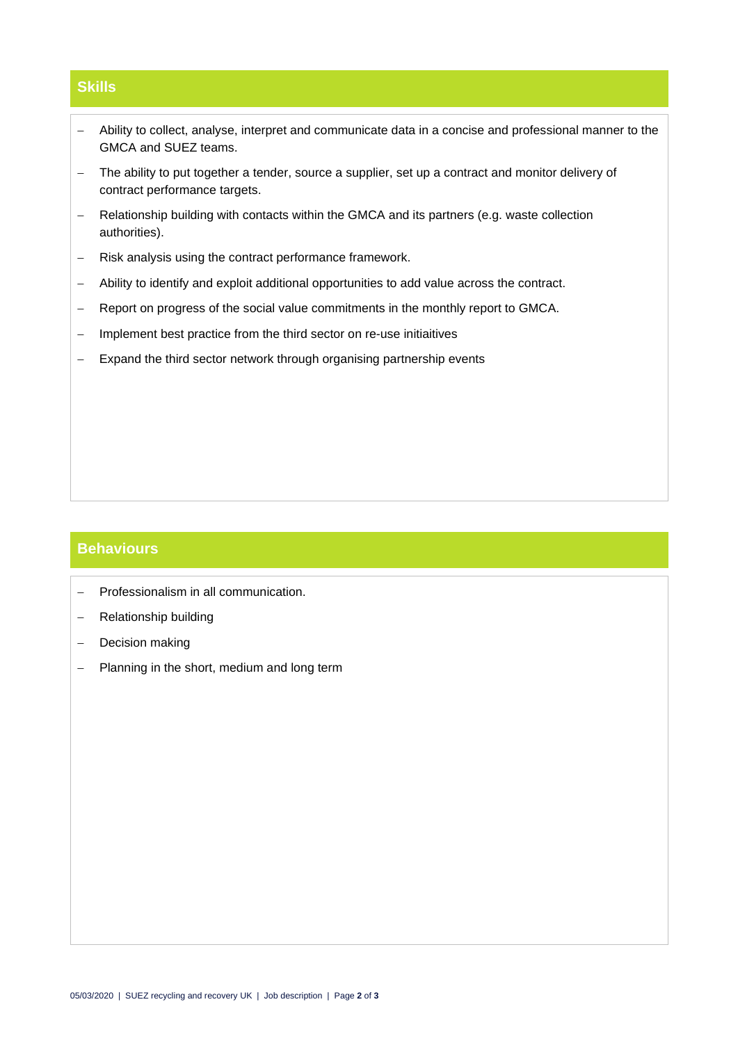## **Skills**

- − Ability to collect, analyse, interpret and communicate data in a concise and professional manner to the GMCA and SUEZ teams.
- − The ability to put together a tender, source a supplier, set up a contract and monitor delivery of contract performance targets.
- − Relationship building with contacts within the GMCA and its partners (e.g. waste collection authorities).
- − Risk analysis using the contract performance framework.
- − Ability to identify and exploit additional opportunities to add value across the contract.
- − Report on progress of the social value commitments in the monthly report to GMCA.
- − Implement best practice from the third sector on re-use initiaitives
- − Expand the third sector network through organising partnership events

#### **Behaviours**

- − Professionalism in all communication.
- − Relationship building
- − Decision making
- − Planning in the short, medium and long term